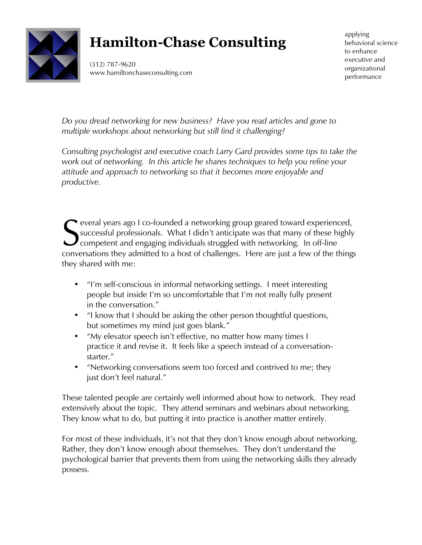

## **Hamilton-Chase Consulting**

(312) 787-9620 www.hamiltonchaseconsulting.com applying behavioral science to enhance executive and organizational performance

*Do you dread networking for new business? Have you read articles and gone to multiple workshops about networking but still find it challenging?* 

*Consulting psychologist and executive coach Larry Gard provides some tips to take the work out of networking. In this article he shares techniques to help you refine your attitude and approach to networking so that it becomes more enjoyable and productive.*

Several years ago I co-founded a networking group geared toward experienced,<br>
successful professionals. What I didn't anticipate was that many of these highly<br>
conversions they admitted to a best of challenges. Here are ju successful professionals. What I didn't anticipate was that many of these highly  $\bm J$  competent and engaging individuals struggled with networking. In off-line conversations they admitted to a host of challenges. Here are just a few of the things they shared with me:

- "I'm self-conscious in informal networking settings. I meet interesting people but inside I'm so uncomfortable that I'm not really fully present in the conversation."
- "I know that I should be asking the other person thoughtful questions, but sometimes my mind just goes blank."
- "My elevator speech isn't effective, no matter how many times I practice it and revise it. It feels like a speech instead of a conversationstarter."
- "Networking conversations seem too forced and contrived to me; they just don't feel natural."

These talented people are certainly well informed about how to network. They read extensively about the topic. They attend seminars and webinars about networking. They know what to do, but putting it into practice is another matter entirely.

For most of these individuals, it's not that they don't know enough about networking. Rather, they don't know enough about themselves. They don't understand the psychological barrier that prevents them from using the networking skills they already possess.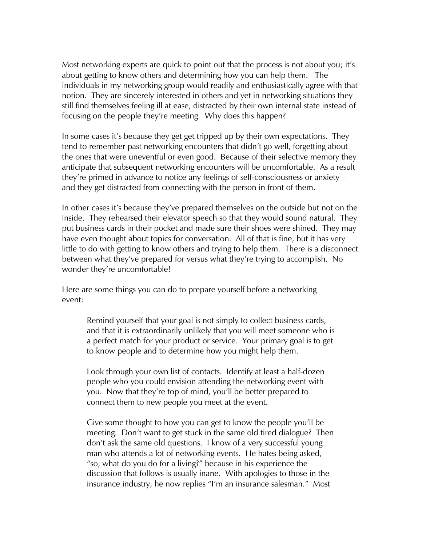Most networking experts are quick to point out that the process is not about you; it's about getting to know others and determining how you can help them. The individuals in my networking group would readily and enthusiastically agree with that notion. They are sincerely interested in others and yet in networking situations they still find themselves feeling ill at ease, distracted by their own internal state instead of focusing on the people they're meeting. Why does this happen?

In some cases it's because they get get tripped up by their own expectations. They tend to remember past networking encounters that didn't go well, forgetting about the ones that were uneventful or even good. Because of their selective memory they anticipate that subsequent networking encounters will be uncomfortable. As a result they're primed in advance to notice any feelings of self-consciousness or anxiety – and they get distracted from connecting with the person in front of them.

In other cases it's because they've prepared themselves on the outside but not on the inside. They rehearsed their elevator speech so that they would sound natural. They put business cards in their pocket and made sure their shoes were shined. They may have even thought about topics for conversation. All of that is fine, but it has very little to do with getting to know others and trying to help them. There is a disconnect between what they've prepared for versus what they're trying to accomplish. No wonder they're uncomfortable!

Here are some things you can do to prepare yourself before a networking event:

Remind yourself that your goal is not simply to collect business cards, and that it is extraordinarily unlikely that you will meet someone who is a perfect match for your product or service. Your primary goal is to get to know people and to determine how you might help them.

Look through your own list of contacts. Identify at least a half-dozen people who you could envision attending the networking event with you. Now that they're top of mind, you'll be better prepared to connect them to new people you meet at the event.

Give some thought to how you can get to know the people you'll be meeting. Don't want to get stuck in the same old tired dialogue? Then don't ask the same old questions. I know of a very successful young man who attends a lot of networking events. He hates being asked, "so, what do you do for a living?" because in his experience the discussion that follows is usually inane. With apologies to those in the insurance industry, he now replies "I'm an insurance salesman." Most